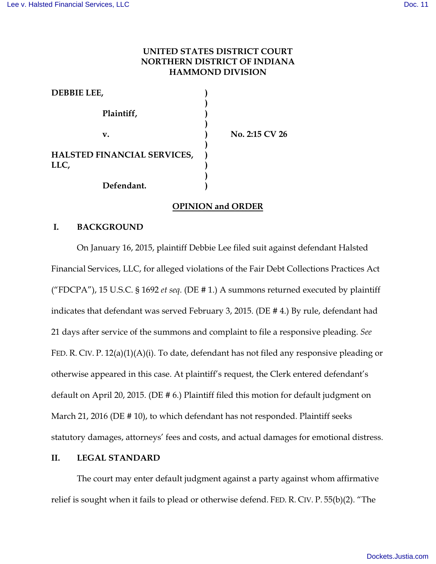# **UNITED STATES DISTRICT COURT NORTHERN DISTRICT OF INDIANA HAMMOND DIVISION**

| <b>DEBBIE LEE,</b>                  |                |
|-------------------------------------|----------------|
| Plaintiff,                          |                |
| v.                                  | No. 2:15 CV 26 |
| HALSTED FINANCIAL SERVICES,<br>LLC, |                |
| Defendant.                          |                |

### **OPINION and ORDER**

### **I. BACKGROUND**

On January 16, 2015, plaintiff Debbie Lee filed suit against defendant Halsted Financial Services, LLC, for alleged violations of the Fair Debt Collections Practices Act ("FDCPA"), 15 U.S.C. § 1692 *et seq*. (DE # 1.) A summons returned executed by plaintiff indicates that defendant was served February 3, 2015. (DE # 4.) By rule, defendant had 21 days after service of the summons and complaint to file a responsive pleading. *See* FED. R. CIV. P. 12(a)(1)(A)(i). To date, defendant has not filed any responsive pleading or otherwise appeared in this case. At plaintiff's request, the Clerk entered defendant's default on April 20, 2015. (DE # 6.) Plaintiff filed this motion for default judgment on March 21, 2016 (DE # 10), to which defendant has not responded. Plaintiff seeks statutory damages, attorneys' fees and costs, and actual damages for emotional distress.

## **II. LEGAL STANDARD**

The court may enter default judgment against a party against whom affirmative relief is sought when it fails to plead or otherwise defend. FED. R. CIV. P. 55(b)(2). "The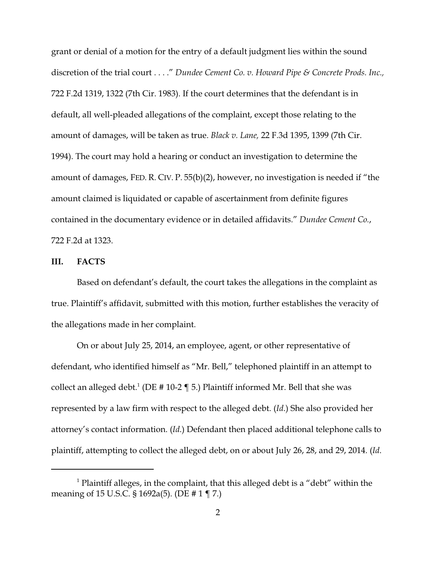grant or denial of a motion for the entry of a default judgment lies within the sound discretion of the trial court . . . ." *Dundee Cement Co. v. Howard Pipe & Concrete Prods. Inc.,* 722 F.2d 1319, 1322 (7th Cir. 1983). If the court determines that the defendant is in default, all well-pleaded allegations of the complaint, except those relating to the amount of damages, will be taken as true. *Black v. Lane,* 22 F.3d 1395, 1399 (7th Cir. 1994). The court may hold a hearing or conduct an investigation to determine the amount of damages, FED. R. CIV. P. 55(b)(2), however, no investigation is needed if "the amount claimed is liquidated or capable of ascertainment from definite figures contained in the documentary evidence or in detailed affidavits." *Dundee Cement Co.*, 722 F.2d at 1323.

#### **III. FACTS**

Based on defendant's default, the court takes the allegations in the complaint as true. Plaintiff's affidavit, submitted with this motion, further establishes the veracity of the allegations made in her complaint.

On or about July 25, 2014, an employee, agent, or other representative of defendant, who identified himself as "Mr. Bell," telephoned plaintiff in an attempt to collect an alleged debt.<sup>1</sup> (DE # 10-2 ¶ 5.) Plaintiff informed Mr. Bell that she was represented by a law firm with respect to the alleged debt. (*Id*.) She also provided her attorney's contact information. (*Id*.) Defendant then placed additional telephone calls to plaintiff, attempting to collect the alleged debt, on or about July 26, 28, and 29, 2014. (*Id*.

 $<sup>1</sup>$  Plaintiff alleges, in the complaint, that this alleged debt is a "debt" within the</sup> meaning of 15 U.S.C. § 1692a(5). (DE # 1 ¶ 7.)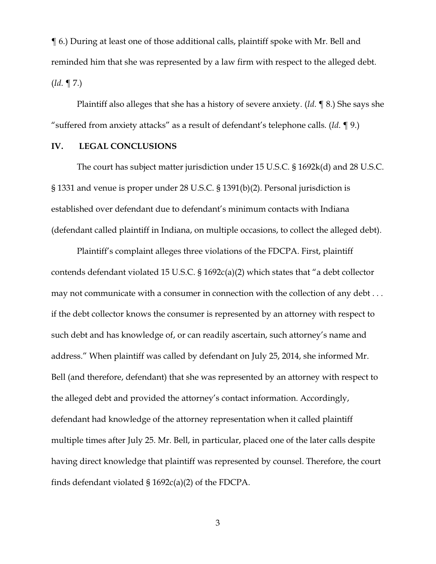¶ 6.) During at least one of those additional calls, plaintiff spoke with Mr. Bell and reminded him that she was represented by a law firm with respect to the alleged debt. (*Id*. ¶ 7.)

Plaintiff also alleges that she has a history of severe anxiety. (*Id*. ¶ 8.) She says she "suffered from anxiety attacks" as a result of defendant's telephone calls. (*Id*. ¶ 9.)

### **IV. LEGAL CONCLUSIONS**

The court has subject matter jurisdiction under 15 U.S.C. § 1692k(d) and 28 U.S.C. § 1331 and venue is proper under 28 U.S.C. § 1391(b)(2). Personal jurisdiction is established over defendant due to defendant's minimum contacts with Indiana (defendant called plaintiff in Indiana, on multiple occasions, to collect the alleged debt).

Plaintiff's complaint alleges three violations of the FDCPA. First, plaintiff contends defendant violated 15 U.S.C. § 1692c(a)(2) which states that "a debt collector may not communicate with a consumer in connection with the collection of any debt . . . if the debt collector knows the consumer is represented by an attorney with respect to such debt and has knowledge of, or can readily ascertain, such attorney's name and address." When plaintiff was called by defendant on July 25, 2014, she informed Mr. Bell (and therefore, defendant) that she was represented by an attorney with respect to the alleged debt and provided the attorney's contact information. Accordingly, defendant had knowledge of the attorney representation when it called plaintiff multiple times after July 25. Mr. Bell, in particular, placed one of the later calls despite having direct knowledge that plaintiff was represented by counsel. Therefore, the court finds defendant violated § 1692c(a)(2) of the FDCPA.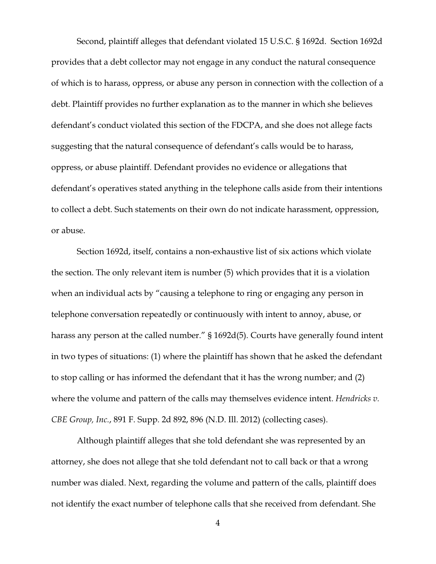Second, plaintiff alleges that defendant violated 15 U.S.C. § 1692d. Section 1692d provides that a debt collector may not engage in any conduct the natural consequence of which is to harass, oppress, or abuse any person in connection with the collection of a debt. Plaintiff provides no further explanation as to the manner in which she believes defendant's conduct violated this section of the FDCPA, and she does not allege facts suggesting that the natural consequence of defendant's calls would be to harass, oppress, or abuse plaintiff. Defendant provides no evidence or allegations that defendant's operatives stated anything in the telephone calls aside from their intentions to collect a debt. Such statements on their own do not indicate harassment, oppression, or abuse.

Section 1692d, itself, contains a non-exhaustive list of six actions which violate the section. The only relevant item is number (5) which provides that it is a violation when an individual acts by "causing a telephone to ring or engaging any person in telephone conversation repeatedly or continuously with intent to annoy, abuse, or harass any person at the called number." § 1692d(5). Courts have generally found intent in two types of situations: (1) where the plaintiff has shown that he asked the defendant to stop calling or has informed the defendant that it has the wrong number; and (2) where the volume and pattern of the calls may themselves evidence intent. *Hendricks v. CBE Group, Inc.*, 891 F. Supp. 2d 892, 896 (N.D. Ill. 2012) (collecting cases).

Although plaintiff alleges that she told defendant she was represented by an attorney, she does not allege that she told defendant not to call back or that a wrong number was dialed. Next, regarding the volume and pattern of the calls, plaintiff does not identify the exact number of telephone calls that she received from defendant. She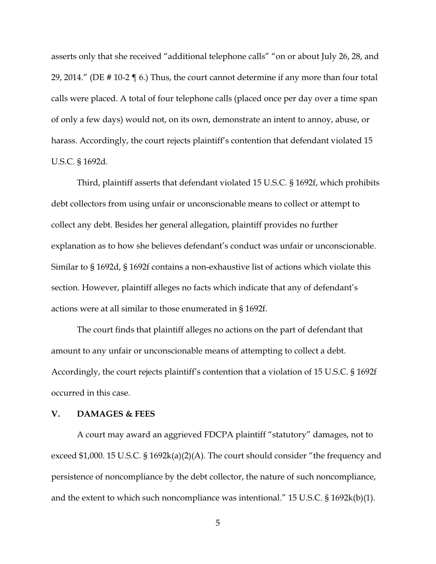asserts only that she received "additional telephone calls" "on or about July 26, 28, and 29, 2014." (DE # 10-2 ¶ 6.) Thus, the court cannot determine if any more than four total calls were placed. A total of four telephone calls (placed once per day over a time span of only a few days) would not, on its own, demonstrate an intent to annoy, abuse, or harass. Accordingly, the court rejects plaintiff's contention that defendant violated 15 U.S.C. § 1692d.

Third, plaintiff asserts that defendant violated 15 U.S.C. § 1692f, which prohibits debt collectors from using unfair or unconscionable means to collect or attempt to collect any debt. Besides her general allegation, plaintiff provides no further explanation as to how she believes defendant's conduct was unfair or unconscionable. Similar to § 1692d, § 1692f contains a non-exhaustive list of actions which violate this section. However, plaintiff alleges no facts which indicate that any of defendant's actions were at all similar to those enumerated in § 1692f.

The court finds that plaintiff alleges no actions on the part of defendant that amount to any unfair or unconscionable means of attempting to collect a debt. Accordingly, the court rejects plaintiff's contention that a violation of 15 U.S.C. § 1692f occurred in this case.

### **V. DAMAGES & FEES**

A court may award an aggrieved FDCPA plaintiff "statutory" damages, not to exceed \$1,000. 15 U.S.C. § 1692k(a)(2)(A). The court should consider "the frequency and persistence of noncompliance by the debt collector, the nature of such noncompliance, and the extent to which such noncompliance was intentional." 15 U.S.C. § 1692k(b)(1).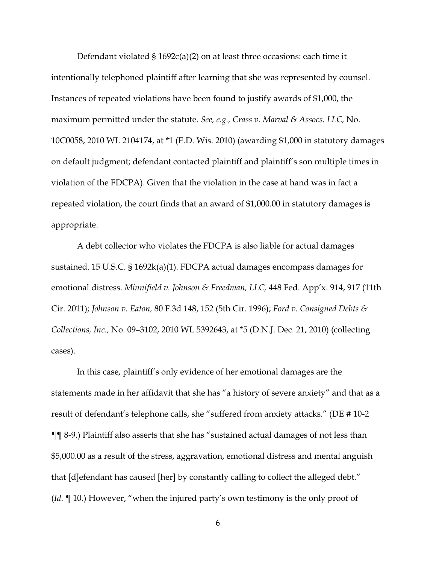Defendant violated § 1692c(a)(2) on at least three occasions: each time it intentionally telephoned plaintiff after learning that she was represented by counsel. Instances of repeated violations have been found to justify awards of \$1,000, the maximum permitted under the statute. *See, e.g., Crass v. Marval & Assocs. LLC,* No. 10C0058, 2010 WL 2104174, at \*1 (E.D. Wis. 2010) (awarding \$1,000 in statutory damages on default judgment; defendant contacted plaintiff and plaintiff's son multiple times in violation of the FDCPA). Given that the violation in the case at hand was in fact a repeated violation, the court finds that an award of \$1,000.00 in statutory damages is appropriate.

A debt collector who violates the FDCPA is also liable for actual damages sustained. 15 U.S.C. § 1692k(a)(1). FDCPA actual damages encompass damages for emotional distress. *Minnifield v. Johnson & Freedman, LLC,* 448 Fed. App'x. 914, 917 (11th Cir. 2011); *Johnson v. Eaton,* 80 F.3d 148, 152 (5th Cir. 1996); *Ford v. Consigned Debts & Collections, Inc.,* No. 09–3102, 2010 WL 5392643, at \*5 (D.N.J. Dec. 21, 2010) (collecting cases).

In this case, plaintiff's only evidence of her emotional damages are the statements made in her affidavit that she has "a history of severe anxiety" and that as a result of defendant's telephone calls, she "suffered from anxiety attacks." (DE # 10-2 ¶¶ 8-9.) Plaintiff also asserts that she has "sustained actual damages of not less than \$5,000.00 as a result of the stress, aggravation, emotional distress and mental anguish that [d]efendant has caused [her] by constantly calling to collect the alleged debt." (*Id*. ¶ 10.) However, "when the injured party's own testimony is the only proof of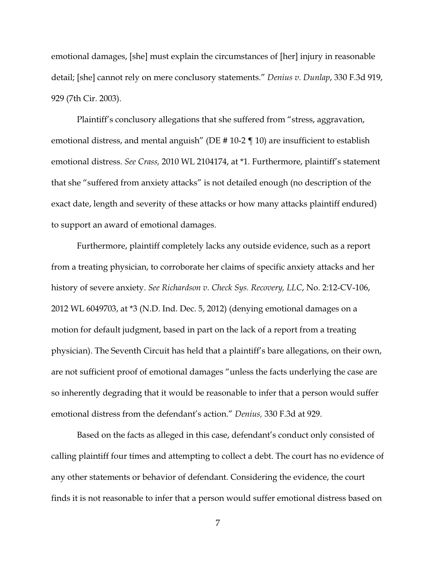emotional damages, [she] must explain the circumstances of [her] injury in reasonable detail; [she] cannot rely on mere conclusory statements." *Denius v. Dunlap*, 330 F.3d 919, 929 (7th Cir. 2003).

Plaintiff's conclusory allegations that she suffered from "stress, aggravation, emotional distress, and mental anguish" (DE # 10-2 ¶ 10) are insufficient to establish emotional distress. *See Crass,* 2010 WL 2104174, at \*1. Furthermore, plaintiff's statement that she "suffered from anxiety attacks" is not detailed enough (no description of the exact date, length and severity of these attacks or how many attacks plaintiff endured) to support an award of emotional damages.

Furthermore, plaintiff completely lacks any outside evidence, such as a report from a treating physician, to corroborate her claims of specific anxiety attacks and her history of severe anxiety. *See Richardson v. Check Sys. Recovery, LLC*, No. 2:12-CV-106, 2012 WL 6049703, at \*3 (N.D. Ind. Dec. 5, 2012) (denying emotional damages on a motion for default judgment, based in part on the lack of a report from a treating physician). The Seventh Circuit has held that a plaintiff's bare allegations, on their own, are not sufficient proof of emotional damages "unless the facts underlying the case are so inherently degrading that it would be reasonable to infer that a person would suffer emotional distress from the defendant's action." *Denius,* 330 F.3d at 929.

Based on the facts as alleged in this case, defendant's conduct only consisted of calling plaintiff four times and attempting to collect a debt. The court has no evidence of any other statements or behavior of defendant. Considering the evidence, the court finds it is not reasonable to infer that a person would suffer emotional distress based on